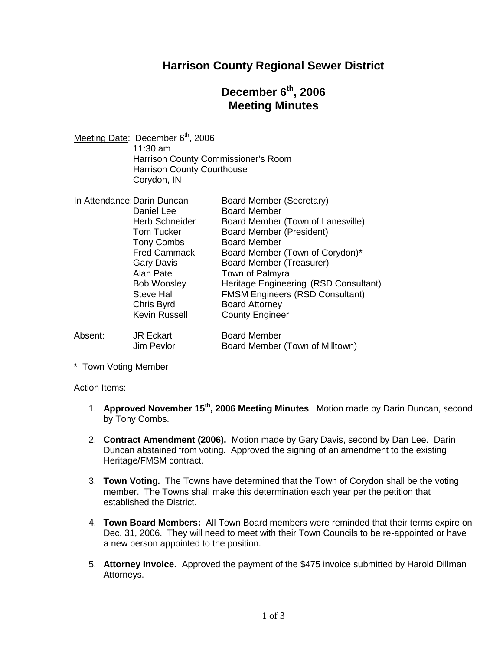### **Harrison County Regional Sewer District**

# **December 6th , 2006 Meeting Minutes**

| Meeting Date: December 6 <sup>th</sup> , 2006 |
|-----------------------------------------------|
| $11:30 \text{ am}$                            |
| Harrison County Commissioner's Room           |
| <b>Harrison County Courthouse</b>             |
| Corydon, IN                                   |
|                                               |

| In Attendance: Darin Duncan |                       | Board Member (Secretary)               |
|-----------------------------|-----------------------|----------------------------------------|
|                             | Daniel Lee            | <b>Board Member</b>                    |
|                             | <b>Herb Schneider</b> | Board Member (Town of Lanesville)      |
|                             | <b>Tom Tucker</b>     | Board Member (President)               |
|                             | <b>Tony Combs</b>     | <b>Board Member</b>                    |
|                             | <b>Fred Cammack</b>   | Board Member (Town of Corydon)*        |
|                             | <b>Gary Davis</b>     | Board Member (Treasurer)               |
|                             | Alan Pate             | Town of Palmyra                        |
|                             | <b>Bob Woosley</b>    | Heritage Engineering (RSD Consultant)  |
|                             | <b>Steve Hall</b>     | <b>FMSM Engineers (RSD Consultant)</b> |
|                             | Chris Byrd            | <b>Board Attorney</b>                  |
|                             | <b>Kevin Russell</b>  | <b>County Engineer</b>                 |
| Absent:                     | <b>JR Eckart</b>      | <b>Board Member</b>                    |
|                             | Jim Pevlor            | Board Member (Town of Milltown)        |

\* Town Voting Member

#### Action Items:

- 1. **Approved November 15th , 2006 Meeting Minutes**. Motion made by Darin Duncan, second by Tony Combs.
- 2. **Contract Amendment (2006).** Motion made by Gary Davis, second by Dan Lee. Darin Duncan abstained from voting. Approved the signing of an amendment to the existing Heritage/FMSM contract.
- 3. **Town Voting.** The Towns have determined that the Town of Corydon shall be the voting member. The Towns shall make this determination each year per the petition that established the District.
- 4. **Town Board Members:** All Town Board members were reminded that their terms expire on Dec. 31, 2006. They will need to meet with their Town Councils to be re-appointed or have a new person appointed to the position.
- 5. **Attorney Invoice.** Approved the payment of the \$475 invoice submitted by Harold Dillman Attorneys.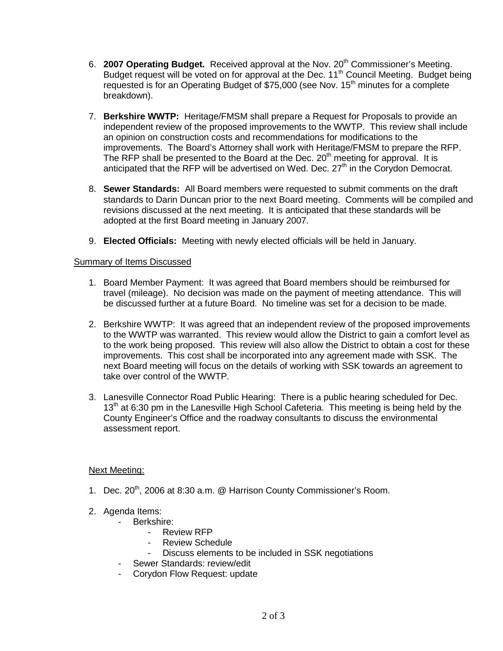- 6. **2007 Operating Budget.** Received approval at the Nov. 20<sup>th</sup> Commissioner's Meeting. Budget request will be voted on for approval at the Dec. 11<sup>th</sup> Council Meeting. Budget being requested is for an Operating Budget of \$75,000 (see Nov. 15<sup>th</sup> minutes for a complete breakdown).
- 7. **Berkshire WWTP:** Heritage/FMSM shall prepare a Request for Proposals to provide an independent review of the proposed improvements to the WWTP. This review shall include an opinion on construction costs and recommendations for modifications to the improvements. The Board's Attorney shall work with Heritage/FMSM to prepare the RFP. The RFP shall be presented to the Board at the Dec.  $20<sup>th</sup>$  meeting for approval. It is anticipated that the RFP will be advertised on Wed. Dec.  $27<sup>th</sup>$  in the Corydon Democrat.
- 8. **Sewer Standards:** All Board members were requested to submit comments on the draft standards to Darin Duncan prior to the next Board meeting. Comments will be compiled and revisions discussed at the next meeting. It is anticipated that these standards will be adopted at the first Board meeting in January 2007.
- 9. **Elected Officials:** Meeting with newly elected officials will be held in January.

### Summary of Items Discussed

- 1. Board Member Payment: It was agreed that Board members should be reimbursed for travel (mileage). No decision was made on the payment of meeting attendance. This will be discussed further at a future Board. No timeline was set for a decision to be made.
- 2. Berkshire WWTP: It was agreed that an independent review of the proposed improvements to the WWTP was warranted. This review would allow the District to gain a comfort level as to the work being proposed. This review will also allow the District to obtain a cost for these improvements. This cost shall be incorporated into any agreement made with SSK. The next Board meeting will focus on the details of working with SSK towards an agreement to take over control of the WWTP.
- 3. Lanesville Connector Road Public Hearing: There is a public hearing scheduled for Dec. 13<sup>th</sup> at 6:30 pm in the Lanesville High School Cafeteria. This meeting is being held by the County Engineer's Office and the roadway consultants to discuss the environmental assessment report.

### Next Meeting:

- 1. Dec. 20<sup>th</sup>, 2006 at 8:30 a.m. @ Harrison County Commissioner's Room.
- 2. Agenda Items:
	- Berkshire:
		- Review RFP
		- Review Schedule
		- Discuss elements to be included in SSK negotiations
		- Sewer Standards: review/edit
	- Corydon Flow Request: update